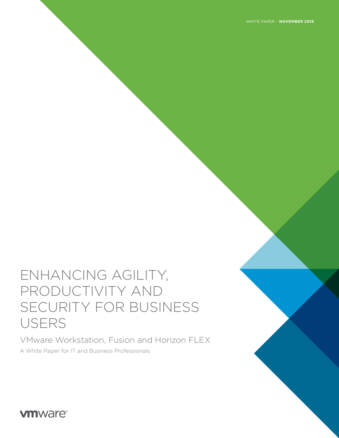# ENHANCING AGILITY, PRODUCTIVITY AND SECURITY FOR BUSINESS USERS

VMware Workstation, Fusion and Horizon FLEX A White Paper for IT and Business Professionals

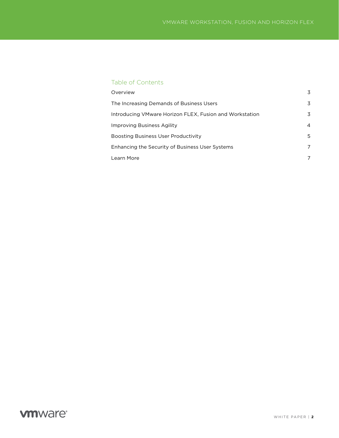### Table of Contents

| Overview                                                | 3 |
|---------------------------------------------------------|---|
| The Increasing Demands of Business Users                | 3 |
| Introducing VMware Horizon FLEX, Fusion and Workstation | 3 |
| Improving Business Agility                              | 4 |
| <b>Boosting Business User Productivity</b>              | 5 |
| Enhancing the Security of Business User Systems         | 7 |
| Learn More                                              | 7 |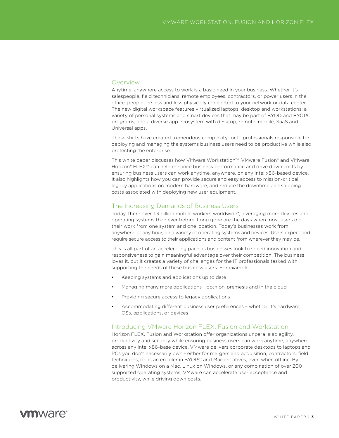#### <span id="page-2-0"></span>**Overview**

Anytime, anywhere access to work is a basic need in your business. Whether it's salespeople, field technicians, remote employees, contractors, or power users in the office, people are less and less physically connected to your network or data center. The new digital workspace features virtualized laptops, desktop and workstations; a variety of personal systems and smart devices that may be part of BYOD and BYOPC programs; and a diverse app ecosystem with desktop, remote, mobile, SaaS and Universal apps.

These shifts have created tremendous complexity for IT professionals responsible for deploying and managing the systems business users need to be productive while also protecting the enterprise.

This white paper discusses how VMware Workstation™, VMware Fusion® and VMware Horizon® FLEX™ can help enhance business performance and drive down costs by ensuring business users can work anytime, anywhere, on any Intel x86-based device. It also highlights how you can provide secure and easy access to mission-critical legacy applications on modern hardware, and reduce the downtime and shipping costs associated with deploying new user equipment.

#### The Increasing Demands of Business Users

Today, there over 1.3 billion mobile workers worldwide\*, leveraging more devices and operating systems than ever before. Long gone are the days when most users did their work from one system and one location. Today's businesses work from anywhere, at any hour, on a variety of operating systems and devices. Users expect and require secure access to their applications and content from wherever they may be.

This is all part of an accelerating pace as businesses look to speed innovation and responsiveness to gain meaningful advantage over their competition. The business loves it, but it creates a variety of challenges for the IT professionals tasked with supporting the needs of these business users. For example:

- Keeping systems and applications up to date
- Managing many more applications both on-premesis and in the cloud
- Providing secure access to legacy applications
- Accommodating different business user preferences whether it's hardware, OSs, applications, or devices

#### Introducing VMware Horizon FLEX, Fusion and Workstation

Horizon FLEX, Fusion and Workstation offer organizations unparalleled agility, productivity and security while ensuring business users can work anytime, anywhere, across any Intel x86-base device. VMware delivers corporate desktops to laptops and PCs you don't necessarily own - either for mergers and acquisition, contractors, field technicians, or as an enabler in BYOPC and Mac initiatives, even when offline. By delivering Windows on a Mac, Linux on Windows, or any combination of over 200 supported operating systems, VMware can accelerate user acceptance and productivity, while driving down costs.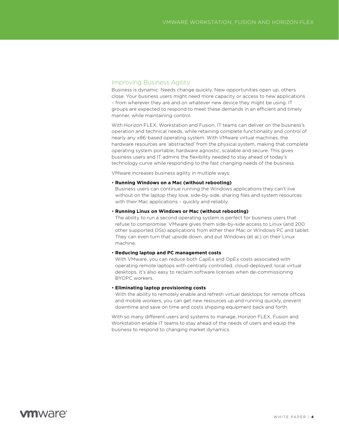### <span id="page-3-0"></span>Improving Business Agility

Business is dynamic. Needs change quickly. New opportunities open up, others close. Your business users might need more capacity or access to new applications – from wherever they are and on whatever new device they might be using. IT groups are expected to respond to meet these demands in an efficient and timely manner, while maintaining control.

With Horizon FLEX, Workstation and Fusion, IT teams can deliver on the business's operation and technical needs, while retaining complete functionality and control of nearly any x86-based operating system. With VMware virtual machines, the hardware resources are 'abstracted' from the physical system, making that complete operating system portable, hardware agnostic, scalable and secure. This gives business users and IT admins the flexibility needed to stay ahead of today's technology curve while responding to the fast changing needs of the business.

VMware increases business agility in multiple ways:

#### • **Running Windows on a Mac (without rebooting)**

Business users can continue running the Windows applications they can't live without on the laptop they love, side-by-side, sharing files and system resources with their Mac applications – quickly and reliably.

#### • **Running Linux on Windows or Mac (without rebooting)**

The ability to run a second operating system is perfect for business users that refuse to compromise. VMware gives them side-by-side access to Linux (and 200 other supported OSs) applications from either their Mac or Windows PC and tablet. They can even turn that upside down, and put Windows (et al.) on their Linux machine.

#### • **Reducing laptop and PC management costs**

With VMware, you can reduce both CapEx and OpEx costs associated with operating remote laptops with centrally controlled, cloud-deployed, local virtual desktops. It's also easy to reclaim software licenses when de-commissioning BYOPC workers.

#### • **Eliminating laptop provisioning costs**

With the ability to remotely enable and refresh virtual desktops for remote offices and mobile workers, you can get new resources up and running quickly, prevent downtime and save on time and costs shipping equipment back and forth.

With so many different users and systems to manage, Horizon FLEX, Fusion and Workstation enable IT teams to stay ahead of the needs of users and equip the business to respond to changing market dynamics.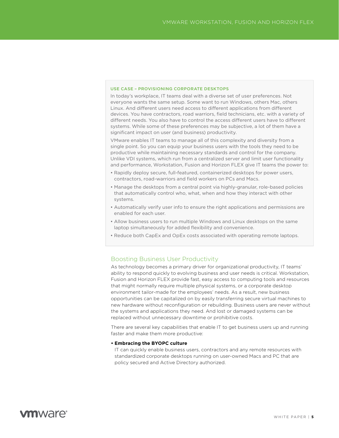#### <span id="page-4-0"></span>USE CASE – PROVISIONING CORPORATE DESKTOPS

In today's workplace, IT teams deal with a diverse set of user preferences. Not everyone wants the same setup. Some want to run Windows, others Mac, others Linux. And different users need access to different applications from different devices. You have contractors, road warriors, field technicians, etc. with a variety of different needs. You also have to control the access different users have to different systems. While some of these preferences may be subjective, a lot of them have a significant impact on user (and business) productivity.

VMware enables IT teams to manage all of this complexity and diversity from a single point. So you can equip your business users with the tools they need to be productive while maintaining necessary standards and control for the company. Unlike VDI systems, which run from a centralized server and limit user functionality and performance, Workstation, Fusion and Horizon FLEX give IT teams the power to:

- Rapidly deploy secure, full-featured, containerized desktops for power users, contractors, road-warriors and field workers on PCs and Macs.
- Manage the desktops from a central point via highly-granular, role-based policies that automatically control who, what, when and how they interact with other systems.
- Automatically verify user info to ensure the right applications and permissions are enabled for each user.
- Allow business users to run multiple Windows and Linux desktops on the same laptop simultaneously for added flexibility and convenience.
- Reduce both CapEx and OpEx costs associated with operating remote laptops.

#### Boosting Business User Productivity

As technology becomes a primary driver for organizational productivity, IT teams' ability to respond quickly to evolving business and user needs is critical. Workstation, Fusion and Horizon FLEX provide fast, easy access to computing tools and resources that might normally require multiple physical systems, or a corporate desktop environment tailor-made for the employees' needs. As a result, new business opportunities can be capitalized on by easily transferring secure virtual machines to new hardware without reconfiguration or rebuilding. Business users are never without the systems and applications they need. And lost or damaged systems can be replaced without unnecessary downtime or prohibitive costs.

There are several key capabilities that enable IT to get business users up and running faster and make them more productive:

#### **• Embracing the BYOPC culture**

IT can quickly enable business users, contractors and any remote resources with standardized corporate desktops running on user-owned Macs and PC that are policy secured and Active Directory authorized.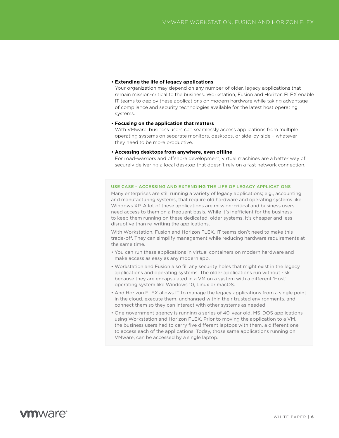#### <span id="page-5-0"></span>**• Extending the life of legacy applications**

Your organization may depend on any number of older, legacy applications that remain mission-critical to the business. Workstation, Fusion and Horizon FLEX enable IT teams to deploy these applications on modern hardware while taking advantage of compliance and security technologies available for the latest host operating systems.

#### **• Focusing on the application that matters**

With VMware, business users can seamlessly access applications from multiple operating systems on separate monitors, desktops, or side-by-side – whatever they need to be more productive.

#### **• Accessing desktops from anywhere, even offline**

For road-warriors and offshore development, virtual machines are a better way of securely delivering a local desktop that doesn't rely on a fast network connection.

#### USE CASE – ACCESSING AND EXTENDING THE LIFE OF LEGACY APPLICATIONS

Many enterprises are still running a variety of legacy applications; e.g., accounting and manufacturing systems, that require old hardware and operating systems like Windows XP. A lot of these applications are mission-critical and business users need access to them on a frequent basis. While it's inefficient for the business to keep them running on these dedicated, older systems, it's cheaper and less disruptive than re-writing the applications.

With Workstation, Fusion and Horizon FLEX, IT teams don't need to make this trade-off. They can simplify management while reducing hardware requirements at the same time.

- You can run these applications in virtual containers on modern hardware and make access as easy as any modern app.
- Workstation and Fusion also fill any security holes that might exist in the legacy applications and operating systems. The older applications run without risk because they are encapsulated in a VM on a system with a different 'Host' operating system like Windows 10, Linux or macOS.
- And Horizon FLEX allows IT to manage the legacy applications from a single point in the cloud, execute them, unchanged within their trusted environments, and connect them so they can interact with other systems as needed.
- One government agency is running a series of 40-year old, MS-DOS applications using Workstation and Horizon FLEX. Prior to moving the application to a VM, the business users had to carry five different laptops with them, a different one to access each of the applications. Today, those same applications running on VMware, can be accessed by a single laptop.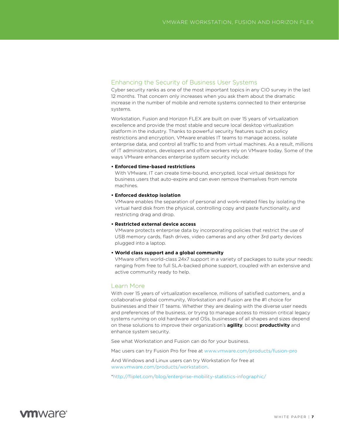### Enhancing the Security of Business User Systems

Cyber security ranks as one of the most important topics in any CIO survey in the last 12 months. That concern only increases when you ask them about the dramatic increase in the number of mobile and remote systems connected to their enterprise systems.

Workstation, Fusion and Horizon FLEX are built on over 15 years of virtualization excellence and provide the most stable and secure local desktop virtualization platform in the industry. Thanks to powerful security features such as policy restrictions and encryption, VMware enables IT teams to manage access, isolate enterprise data, and control all traffic to and from virtual machines. As a result, millions of IT administrators, developers and office workers rely on VMware today. Some of the ways VMware enhances enterprise system security include:

#### **• Enforced time-based restrictions**

With VMware, IT can create time-bound, encrypted, local virtual desktops for business users that auto-expire and can even remove themselves from remote machines.

#### **• Enforced desktop isolation**

VMware enables the separation of personal and work-related files by isolating the virtual hard disk from the physical, controlling copy and paste functionality, and restricting drag and drop.

#### **• Restricted external device access**

VMware protects enterprise data by incorporating policies that restrict the use of USB memory cards, flash drives, video cameras and any other 3rd party devices plugged into a laptop.

#### **• World class support and a global community**

VMware offers world-class 24x7 support in a variety of packages to suite your needs: ranging from free to full SLA-backed phone support, coupled with an extensive and active community ready to help.

### Learn More

With over 15 years of virtualization excellence, millions of satisfied customers, and a collaborative global community, Workstation and Fusion are the #1 choice for businesses and their IT teams. Whether they are dealing with the diverse user needs and preferences of the business, or trying to manage access to mission critical legacy systems running on old hardware and OSs, businesses of all shapes and sizes depend on these solutions to improve their organization's **agility**, boost **productivity** and enhance system security.

See what Workstation and Fusion can do for your business.

Mac users can try Fusion Pro for free at www.vmware.com/products/fusion-pro

And Windows and Linux users can try Workstation for free at www.vmware.com/products/workstation.

[\\*h](*http://fliplet.com/blog/enterprise-mobility-statistics-infographic/)ttp://fliplet.com/blog/enterprise-mobility-statistics-infographic/